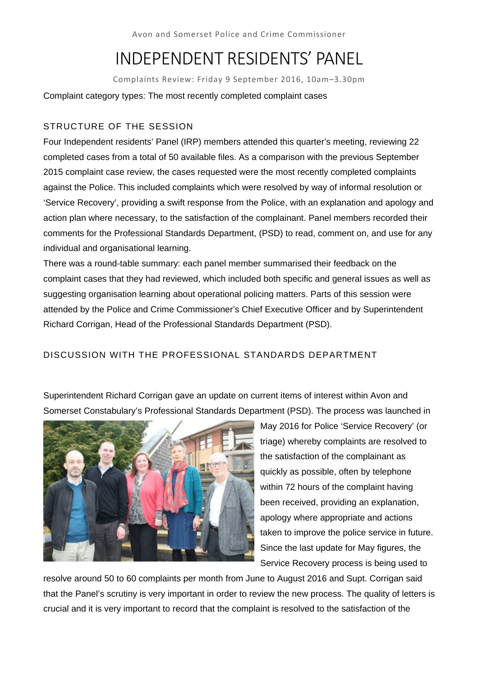Avon and Somerset Police and Crime Commissioner

# INDEPENDENT RESIDENTS' PANEL

Complaints Review: Friday 9 September 2016, 10am–3.30pm Complaint category types: The most recently completed complaint cases

# STRUCTURE OF THE SESSION

Four Independent residents' Panel (IRP) members attended this quarter's meeting, reviewing 22 completed cases from a total of 50 available files. As a comparison with the previous September 2015 complaint case review, the cases requested were the most recently completed complaints against the Police. This included complaints which were resolved by way of informal resolution or 'Service Recovery', providing a swift response from the Police, with an explanation and apology and action plan where necessary, to the satisfaction of the complainant. Panel members recorded their comments for the Professional Standards Department, (PSD) to read, comment on, and use for any individual and organisational learning.

There was a round-table summary: each panel member summarised their feedback on the complaint cases that they had reviewed, which included both specific and general issues as well as suggesting organisation learning about operational policing matters. Parts of this session were attended by the Police and Crime Commissioner's Chief Executive Officer and by Superintendent Richard Corrigan, Head of the Professional Standards Department (PSD).

# DISCUSSION WITH THE PROFESSIONAL STANDARDS DEPARTMENT

Superintendent Richard Corrigan gave an update on current items of interest within Avon and Somerset Constabulary's Professional Standards Department (PSD). The process was launched in



May 2016 for Police 'Service Recovery' (or triage) whereby complaints are resolved to the satisfaction of the complainant as quickly as possible, often by telephone within 72 hours of the complaint having been received, providing an explanation, apology where appropriate and actions taken to improve the police service in future. Since the last update for May figures, the Service Recovery process is being used to

resolve around 50 to 60 complaints per month from June to August 2016 and Supt. Corrigan said that the Panel's scrutiny is very important in order to review the new process. The quality of letters is crucial and it is very important to record that the complaint is resolved to the satisfaction of the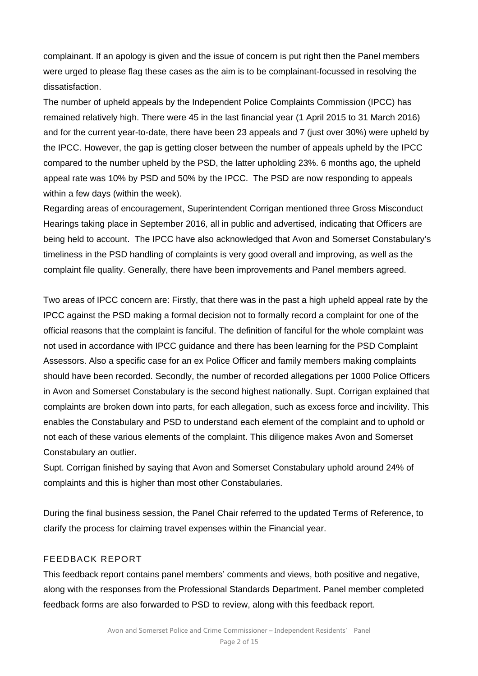complainant. If an apology is given and the issue of concern is put right then the Panel members were urged to please flag these cases as the aim is to be complainant-focussed in resolving the dissatisfaction.

The number of upheld appeals by the Independent Police Complaints Commission (IPCC) has remained relatively high. There were 45 in the last financial year (1 April 2015 to 31 March 2016) and for the current year-to-date, there have been 23 appeals and 7 (just over 30%) were upheld by the IPCC. However, the gap is getting closer between the number of appeals upheld by the IPCC compared to the number upheld by the PSD, the latter upholding 23%. 6 months ago, the upheld appeal rate was 10% by PSD and 50% by the IPCC. The PSD are now responding to appeals within a few days (within the week).

Regarding areas of encouragement, Superintendent Corrigan mentioned three Gross Misconduct Hearings taking place in September 2016, all in public and advertised, indicating that Officers are being held to account. The IPCC have also acknowledged that Avon and Somerset Constabulary's timeliness in the PSD handling of complaints is very good overall and improving, as well as the complaint file quality. Generally, there have been improvements and Panel members agreed.

Two areas of IPCC concern are: Firstly, that there was in the past a high upheld appeal rate by the IPCC against the PSD making a formal decision not to formally record a complaint for one of the official reasons that the complaint is fanciful. The definition of fanciful for the whole complaint was not used in accordance with IPCC guidance and there has been learning for the PSD Complaint Assessors. Also a specific case for an ex Police Officer and family members making complaints should have been recorded. Secondly, the number of recorded allegations per 1000 Police Officers in Avon and Somerset Constabulary is the second highest nationally. Supt. Corrigan explained that complaints are broken down into parts, for each allegation, such as excess force and incivility. This enables the Constabulary and PSD to understand each element of the complaint and to uphold or not each of these various elements of the complaint. This diligence makes Avon and Somerset Constabulary an outlier.

Supt. Corrigan finished by saying that Avon and Somerset Constabulary uphold around 24% of complaints and this is higher than most other Constabularies.

During the final business session, the Panel Chair referred to the updated Terms of Reference, to clarify the process for claiming travel expenses within the Financial year.

# FEEDBACK REPORT

This feedback report contains panel members' comments and views, both positive and negative, along with the responses from the Professional Standards Department. Panel member completed feedback forms are also forwarded to PSD to review, along with this feedback report.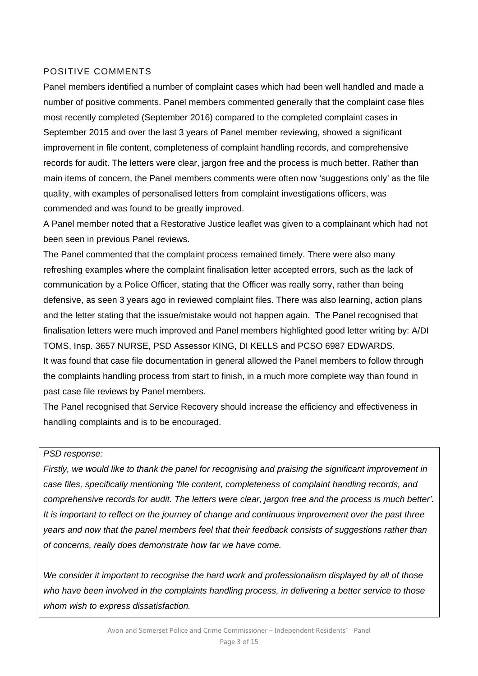## POSITIVE COMMENTS

Panel members identified a number of complaint cases which had been well handled and made a number of positive comments. Panel members commented generally that the complaint case files most recently completed (September 2016) compared to the completed complaint cases in September 2015 and over the last 3 years of Panel member reviewing, showed a significant improvement in file content, completeness of complaint handling records, and comprehensive records for audit. The letters were clear, jargon free and the process is much better. Rather than main items of concern, the Panel members comments were often now 'suggestions only' as the file quality, with examples of personalised letters from complaint investigations officers, was commended and was found to be greatly improved.

A Panel member noted that a Restorative Justice leaflet was given to a complainant which had not been seen in previous Panel reviews.

The Panel commented that the complaint process remained timely. There were also many refreshing examples where the complaint finalisation letter accepted errors, such as the lack of communication by a Police Officer, stating that the Officer was really sorry, rather than being defensive, as seen 3 years ago in reviewed complaint files. There was also learning, action plans and the letter stating that the issue/mistake would not happen again. The Panel recognised that finalisation letters were much improved and Panel members highlighted good letter writing by: A/DI TOMS, Insp. 3657 NURSE, PSD Assessor KING, DI KELLS and PCSO 6987 EDWARDS. It was found that case file documentation in general allowed the Panel members to follow through the complaints handling process from start to finish, in a much more complete way than found in past case file reviews by Panel members.

The Panel recognised that Service Recovery should increase the efficiency and effectiveness in handling complaints and is to be encouraged.

### *PSD response:*

*Firstly, we would like to thank the panel for recognising and praising the significant improvement in case files, specifically mentioning 'file content, completeness of complaint handling records, and comprehensive records for audit. The letters were clear, jargon free and the process is much better'. It is important to reflect on the journey of change and continuous improvement over the past three years and now that the panel members feel that their feedback consists of suggestions rather than of concerns, really does demonstrate how far we have come.* 

*We consider it important to recognise the hard work and professionalism displayed by all of those who have been involved in the complaints handling process, in delivering a better service to those whom wish to express dissatisfaction.*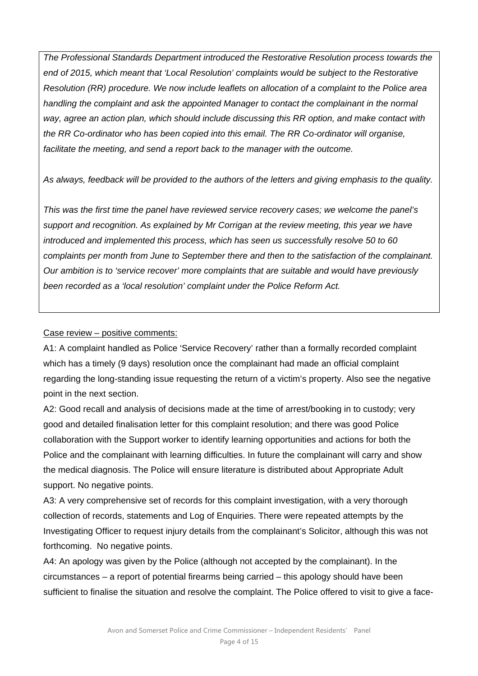*The Professional Standards Department introduced the Restorative Resolution process towards the end of 2015, which meant that 'Local Resolution' complaints would be subject to the Restorative Resolution (RR) procedure. We now include leaflets on allocation of a complaint to the Police area handling the complaint and ask the appointed Manager to contact the complainant in the normal way, agree an action plan, which should include discussing this RR option, and make contact with the RR Co-ordinator who has been copied into this email. The RR Co-ordinator will organise, facilitate the meeting, and send a report back to the manager with the outcome.* 

*As always, feedback will be provided to the authors of the letters and giving emphasis to the quality.* 

*This was the first time the panel have reviewed service recovery cases; we welcome the panel's support and recognition. As explained by Mr Corrigan at the review meeting, this year we have introduced and implemented this process, which has seen us successfully resolve 50 to 60 complaints per month from June to September there and then to the satisfaction of the complainant. Our ambition is to 'service recover' more complaints that are suitable and would have previously been recorded as a 'local resolution' complaint under the Police Reform Act.* 

### Case review – positive comments:

A1: A complaint handled as Police 'Service Recovery' rather than a formally recorded complaint which has a timely (9 days) resolution once the complainant had made an official complaint regarding the long-standing issue requesting the return of a victim's property. Also see the negative point in the next section.

A2: Good recall and analysis of decisions made at the time of arrest/booking in to custody; very good and detailed finalisation letter for this complaint resolution; and there was good Police collaboration with the Support worker to identify learning opportunities and actions for both the Police and the complainant with learning difficulties. In future the complainant will carry and show the medical diagnosis. The Police will ensure literature is distributed about Appropriate Adult support. No negative points.

A3: A very comprehensive set of records for this complaint investigation, with a very thorough collection of records, statements and Log of Enquiries. There were repeated attempts by the Investigating Officer to request injury details from the complainant's Solicitor, although this was not forthcoming. No negative points.

A4: An apology was given by the Police (although not accepted by the complainant). In the circumstances – a report of potential firearms being carried – this apology should have been sufficient to finalise the situation and resolve the complaint. The Police offered to visit to give a face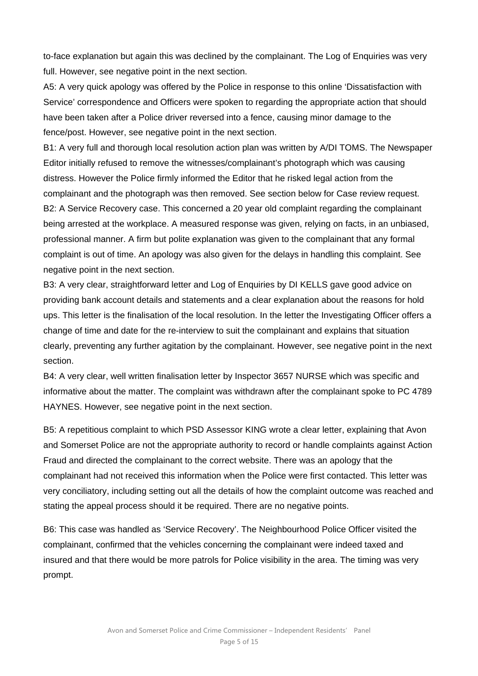to-face explanation but again this was declined by the complainant. The Log of Enquiries was very full. However, see negative point in the next section.

A5: A very quick apology was offered by the Police in response to this online 'Dissatisfaction with Service' correspondence and Officers were spoken to regarding the appropriate action that should have been taken after a Police driver reversed into a fence, causing minor damage to the fence/post. However, see negative point in the next section.

B1: A very full and thorough local resolution action plan was written by A/DI TOMS. The Newspaper Editor initially refused to remove the witnesses/complainant's photograph which was causing distress. However the Police firmly informed the Editor that he risked legal action from the complainant and the photograph was then removed. See section below for Case review request. B2: A Service Recovery case. This concerned a 20 year old complaint regarding the complainant being arrested at the workplace. A measured response was given, relying on facts, in an unbiased, professional manner. A firm but polite explanation was given to the complainant that any formal complaint is out of time. An apology was also given for the delays in handling this complaint. See negative point in the next section.

B3: A very clear, straightforward letter and Log of Enquiries by DI KELLS gave good advice on providing bank account details and statements and a clear explanation about the reasons for hold ups. This letter is the finalisation of the local resolution. In the letter the Investigating Officer offers a change of time and date for the re-interview to suit the complainant and explains that situation clearly, preventing any further agitation by the complainant. However, see negative point in the next section.

B4: A very clear, well written finalisation letter by Inspector 3657 NURSE which was specific and informative about the matter. The complaint was withdrawn after the complainant spoke to PC 4789 HAYNES. However, see negative point in the next section.

B5: A repetitious complaint to which PSD Assessor KING wrote a clear letter, explaining that Avon and Somerset Police are not the appropriate authority to record or handle complaints against Action Fraud and directed the complainant to the correct website. There was an apology that the complainant had not received this information when the Police were first contacted. This letter was very conciliatory, including setting out all the details of how the complaint outcome was reached and stating the appeal process should it be required. There are no negative points.

B6: This case was handled as 'Service Recovery'. The Neighbourhood Police Officer visited the complainant, confirmed that the vehicles concerning the complainant were indeed taxed and insured and that there would be more patrols for Police visibility in the area. The timing was very prompt.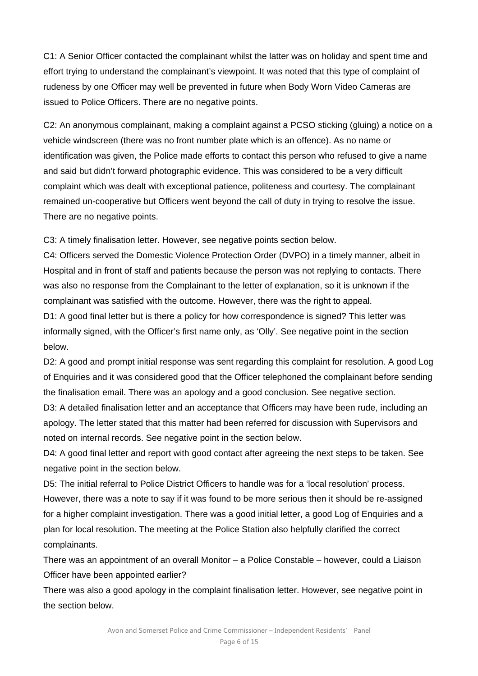C1: A Senior Officer contacted the complainant whilst the latter was on holiday and spent time and effort trying to understand the complainant's viewpoint. It was noted that this type of complaint of rudeness by one Officer may well be prevented in future when Body Worn Video Cameras are issued to Police Officers. There are no negative points.

C2: An anonymous complainant, making a complaint against a PCSO sticking (gluing) a notice on a vehicle windscreen (there was no front number plate which is an offence). As no name or identification was given, the Police made efforts to contact this person who refused to give a name and said but didn't forward photographic evidence. This was considered to be a very difficult complaint which was dealt with exceptional patience, politeness and courtesy. The complainant remained un-cooperative but Officers went beyond the call of duty in trying to resolve the issue. There are no negative points.

C3: A timely finalisation letter. However, see negative points section below.

C4: Officers served the Domestic Violence Protection Order (DVPO) in a timely manner, albeit in Hospital and in front of staff and patients because the person was not replying to contacts. There was also no response from the Complainant to the letter of explanation, so it is unknown if the complainant was satisfied with the outcome. However, there was the right to appeal.

D1: A good final letter but is there a policy for how correspondence is signed? This letter was informally signed, with the Officer's first name only, as 'Olly'. See negative point in the section below.

D2: A good and prompt initial response was sent regarding this complaint for resolution. A good Log of Enquiries and it was considered good that the Officer telephoned the complainant before sending the finalisation email. There was an apology and a good conclusion. See negative section.

D3: A detailed finalisation letter and an acceptance that Officers may have been rude, including an apology. The letter stated that this matter had been referred for discussion with Supervisors and noted on internal records. See negative point in the section below.

D4: A good final letter and report with good contact after agreeing the next steps to be taken. See negative point in the section below.

D5: The initial referral to Police District Officers to handle was for a 'local resolution' process. However, there was a note to say if it was found to be more serious then it should be re-assigned for a higher complaint investigation. There was a good initial letter, a good Log of Enquiries and a plan for local resolution. The meeting at the Police Station also helpfully clarified the correct complainants.

There was an appointment of an overall Monitor – a Police Constable – however, could a Liaison Officer have been appointed earlier?

There was also a good apology in the complaint finalisation letter. However, see negative point in the section below.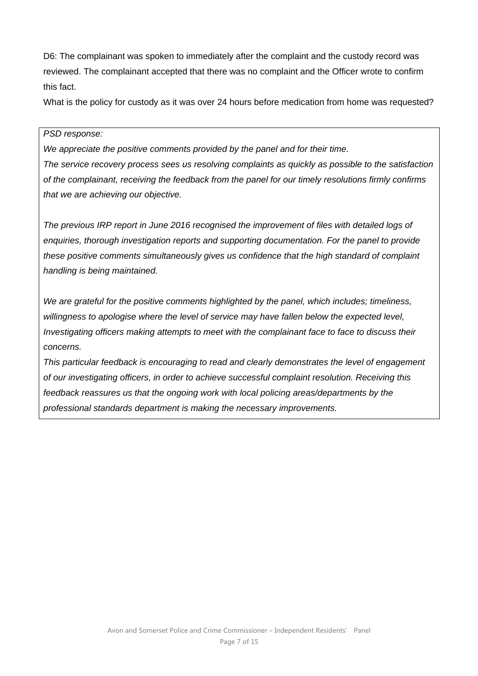D6: The complainant was spoken to immediately after the complaint and the custody record was reviewed. The complainant accepted that there was no complaint and the Officer wrote to confirm this fact.

What is the policy for custody as it was over 24 hours before medication from home was requested?

### *PSD response:*

*We appreciate the positive comments provided by the panel and for their time. The service recovery process sees us resolving complaints as quickly as possible to the satisfaction of the complainant, receiving the feedback from the panel for our timely resolutions firmly confirms that we are achieving our objective.* 

*The previous IRP report in June 2016 recognised the improvement of files with detailed logs of enquiries, thorough investigation reports and supporting documentation. For the panel to provide these positive comments simultaneously gives us confidence that the high standard of complaint handling is being maintained.* 

*We are grateful for the positive comments highlighted by the panel, which includes; timeliness, willingness to apologise where the level of service may have fallen below the expected level, Investigating officers making attempts to meet with the complainant face to face to discuss their concerns.* 

*This particular feedback is encouraging to read and clearly demonstrates the level of engagement of our investigating officers, in order to achieve successful complaint resolution. Receiving this feedback reassures us that the ongoing work with local policing areas/departments by the professional standards department is making the necessary improvements.*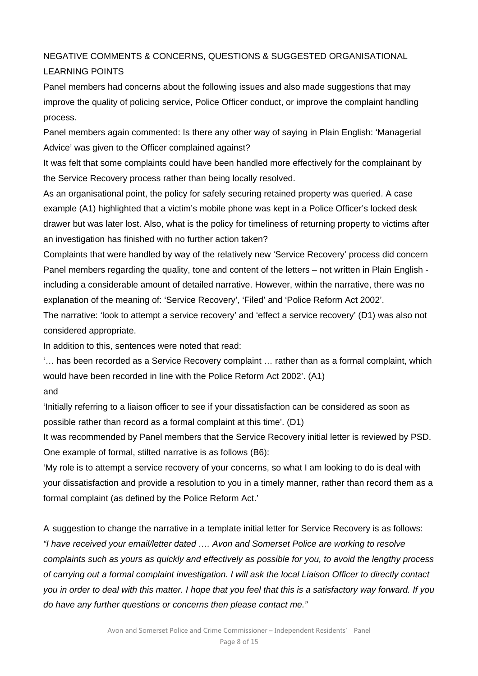# NEGATIVE COMMENTS & CONCERNS, QUESTIONS & SUGGESTED ORGANISATIONAL LEARNING POINTS

Panel members had concerns about the following issues and also made suggestions that may improve the quality of policing service, Police Officer conduct, or improve the complaint handling process.

Panel members again commented: Is there any other way of saying in Plain English: 'Managerial Advice' was given to the Officer complained against?

It was felt that some complaints could have been handled more effectively for the complainant by the Service Recovery process rather than being locally resolved.

As an organisational point, the policy for safely securing retained property was queried. A case example (A1) highlighted that a victim's mobile phone was kept in a Police Officer's locked desk drawer but was later lost. Also, what is the policy for timeliness of returning property to victims after an investigation has finished with no further action taken?

Complaints that were handled by way of the relatively new 'Service Recovery' process did concern Panel members regarding the quality, tone and content of the letters – not written in Plain English including a considerable amount of detailed narrative. However, within the narrative, there was no explanation of the meaning of: 'Service Recovery', 'Filed' and 'Police Reform Act 2002'.

The narrative: 'look to attempt a service recovery' and 'effect a service recovery' (D1) was also not considered appropriate.

In addition to this, sentences were noted that read:

'… has been recorded as a Service Recovery complaint … rather than as a formal complaint, which would have been recorded in line with the Police Reform Act 2002'. (A1)

and

'Initially referring to a liaison officer to see if your dissatisfaction can be considered as soon as possible rather than record as a formal complaint at this time'. (D1)

It was recommended by Panel members that the Service Recovery initial letter is reviewed by PSD. One example of formal, stilted narrative is as follows (B6):

'My role is to attempt a service recovery of your concerns, so what I am looking to do is deal with your dissatisfaction and provide a resolution to you in a timely manner, rather than record them as a formal complaint (as defined by the Police Reform Act.'

A suggestion to change the narrative in a template initial letter for Service Recovery is as follows: *"I have received your email/letter dated …. Avon and Somerset Police are working to resolve complaints such as yours as quickly and effectively as possible for you, to avoid the lengthy process of carrying out a formal complaint investigation. I will ask the local Liaison Officer to directly contact you in order to deal with this matter. I hope that you feel that this is a satisfactory way forward. If you do have any further questions or concerns then please contact me."*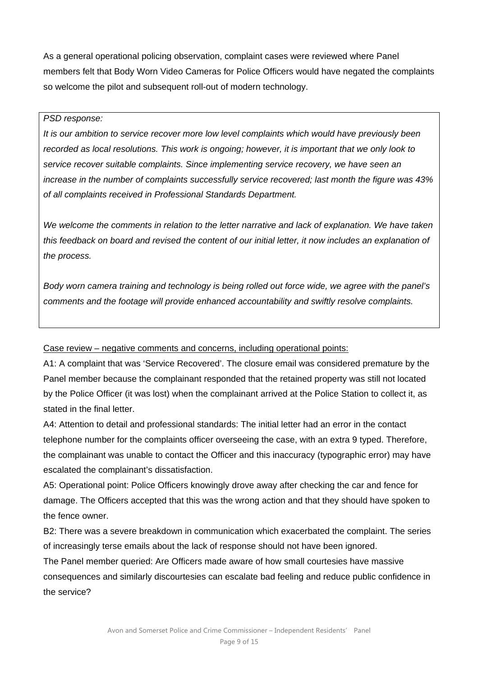As a general operational policing observation, complaint cases were reviewed where Panel members felt that Body Worn Video Cameras for Police Officers would have negated the complaints so welcome the pilot and subsequent roll-out of modern technology.

### *PSD response:*

*It is our ambition to service recover more low level complaints which would have previously been recorded as local resolutions. This work is ongoing; however, it is important that we only look to service recover suitable complaints. Since implementing service recovery, we have seen an increase in the number of complaints successfully service recovered; last month the figure was 43% of all complaints received in Professional Standards Department.* 

*We welcome the comments in relation to the letter narrative and lack of explanation. We have taken this feedback on board and revised the content of our initial letter, it now includes an explanation of the process.* 

*Body worn camera training and technology is being rolled out force wide, we agree with the panel's comments and the footage will provide enhanced accountability and swiftly resolve complaints.* 

Case review – negative comments and concerns, including operational points:

A1: A complaint that was 'Service Recovered'. The closure email was considered premature by the Panel member because the complainant responded that the retained property was still not located by the Police Officer (it was lost) when the complainant arrived at the Police Station to collect it, as stated in the final letter.

A4: Attention to detail and professional standards: The initial letter had an error in the contact telephone number for the complaints officer overseeing the case, with an extra 9 typed. Therefore, the complainant was unable to contact the Officer and this inaccuracy (typographic error) may have escalated the complainant's dissatisfaction.

A5: Operational point: Police Officers knowingly drove away after checking the car and fence for damage. The Officers accepted that this was the wrong action and that they should have spoken to the fence owner.

B2: There was a severe breakdown in communication which exacerbated the complaint. The series of increasingly terse emails about the lack of response should not have been ignored.

The Panel member queried: Are Officers made aware of how small courtesies have massive consequences and similarly discourtesies can escalate bad feeling and reduce public confidence in the service?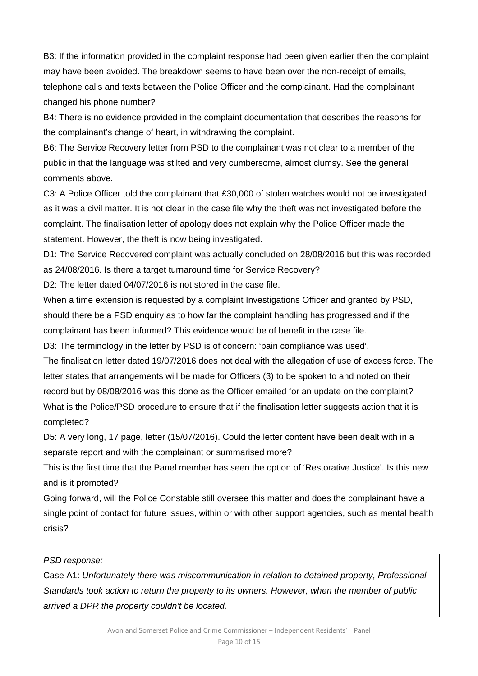B3: If the information provided in the complaint response had been given earlier then the complaint may have been avoided. The breakdown seems to have been over the non-receipt of emails, telephone calls and texts between the Police Officer and the complainant. Had the complainant changed his phone number?

B4: There is no evidence provided in the complaint documentation that describes the reasons for the complainant's change of heart, in withdrawing the complaint.

B6: The Service Recovery letter from PSD to the complainant was not clear to a member of the public in that the language was stilted and very cumbersome, almost clumsy. See the general comments above.

C3: A Police Officer told the complainant that £30,000 of stolen watches would not be investigated as it was a civil matter. It is not clear in the case file why the theft was not investigated before the complaint. The finalisation letter of apology does not explain why the Police Officer made the statement. However, the theft is now being investigated.

D1: The Service Recovered complaint was actually concluded on 28/08/2016 but this was recorded as 24/08/2016. Is there a target turnaround time for Service Recovery?

D2: The letter dated 04/07/2016 is not stored in the case file.

When a time extension is requested by a complaint Investigations Officer and granted by PSD, should there be a PSD enquiry as to how far the complaint handling has progressed and if the complainant has been informed? This evidence would be of benefit in the case file.

D3: The terminology in the letter by PSD is of concern: 'pain compliance was used'.

The finalisation letter dated 19/07/2016 does not deal with the allegation of use of excess force. The letter states that arrangements will be made for Officers (3) to be spoken to and noted on their record but by 08/08/2016 was this done as the Officer emailed for an update on the complaint? What is the Police/PSD procedure to ensure that if the finalisation letter suggests action that it is completed?

D5: A very long, 17 page, letter (15/07/2016). Could the letter content have been dealt with in a separate report and with the complainant or summarised more?

This is the first time that the Panel member has seen the option of 'Restorative Justice'. Is this new and is it promoted?

Going forward, will the Police Constable still oversee this matter and does the complainant have a single point of contact for future issues, within or with other support agencies, such as mental health crisis?

# *PSD response:*

Case A1: *Unfortunately there was miscommunication in relation to detained property, Professional Standards took action to return the property to its owners. However, when the member of public arrived a DPR the property couldn't be located.*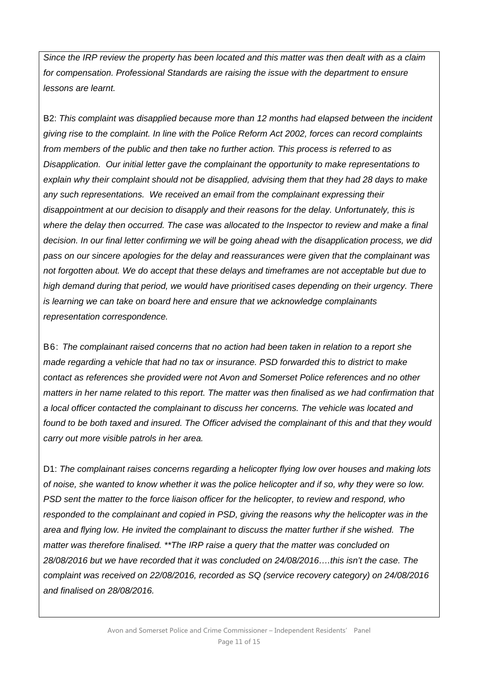*Since the IRP review the property has been located and this matter was then dealt with as a claim for compensation. Professional Standards are raising the issue with the department to ensure lessons are learnt.* 

B2: *This complaint was disapplied because more than 12 months had elapsed between the incident giving rise to the complaint. In line with the Police Reform Act 2002, forces can record complaints from members of the public and then take no further action. This process is referred to as Disapplication. Our initial letter gave the complainant the opportunity to make representations to explain why their complaint should not be disapplied, advising them that they had 28 days to make any such representations. We received an email from the complainant expressing their disappointment at our decision to disapply and their reasons for the delay. Unfortunately, this is where the delay then occurred. The case was allocated to the Inspector to review and make a final decision. In our final letter confirming we will be going ahead with the disapplication process, we did pass on our sincere apologies for the delay and reassurances were given that the complainant was not forgotten about. We do accept that these delays and timeframes are not acceptable but due to high demand during that period, we would have prioritised cases depending on their urgency. There is learning we can take on board here and ensure that we acknowledge complainants representation correspondence.* 

B6: *The complainant raised concerns that no action had been taken in relation to a report she made regarding a vehicle that had no tax or insurance. PSD forwarded this to district to make contact as references she provided were not Avon and Somerset Police references and no other matters in her name related to this report. The matter was then finalised as we had confirmation that a local officer contacted the complainant to discuss her concerns. The vehicle was located and found to be both taxed and insured. The Officer advised the complainant of this and that they would carry out more visible patrols in her area.* 

D1: *The complainant raises concerns regarding a helicopter flying low over houses and making lots of noise, she wanted to know whether it was the police helicopter and if so, why they were so low. PSD sent the matter to the force liaison officer for the helicopter, to review and respond, who responded to the complainant and copied in PSD, giving the reasons why the helicopter was in the area and flying low. He invited the complainant to discuss the matter further if she wished. The matter was therefore finalised. \*\*The IRP raise a query that the matter was concluded on 28/08/2016 but we have recorded that it was concluded on 24/08/2016….this isn't the case. The complaint was received on 22/08/2016, recorded as SQ (service recovery category) on 24/08/2016 and finalised on 28/08/2016.*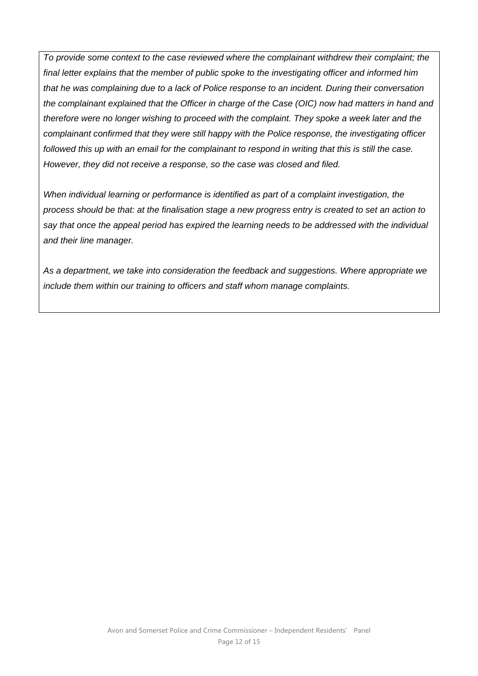*To provide some context to the case reviewed where the complainant withdrew their complaint; the final letter explains that the member of public spoke to the investigating officer and informed him that he was complaining due to a lack of Police response to an incident. During their conversation the complainant explained that the Officer in charge of the Case (OIC) now had matters in hand and therefore were no longer wishing to proceed with the complaint. They spoke a week later and the complainant confirmed that they were still happy with the Police response, the investigating officer followed this up with an email for the complainant to respond in writing that this is still the case. However, they did not receive a response, so the case was closed and filed.* 

*When individual learning or performance is identified as part of a complaint investigation, the process should be that: at the finalisation stage a new progress entry is created to set an action to say that once the appeal period has expired the learning needs to be addressed with the individual and their line manager.* 

*As a department, we take into consideration the feedback and suggestions. Where appropriate we include them within our training to officers and staff whom manage complaints.*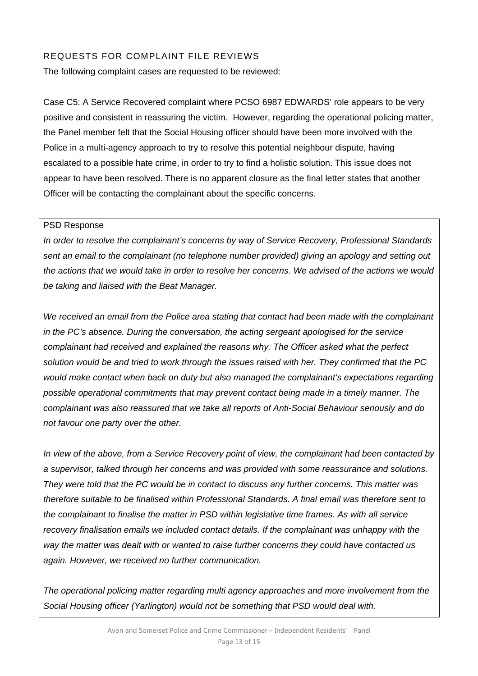# REQUESTS FOR COMPLAINT FILE REVIEWS

The following complaint cases are requested to be reviewed:

Case C5: A Service Recovered complaint where PCSO 6987 EDWARDS' role appears to be very positive and consistent in reassuring the victim. However, regarding the operational policing matter, the Panel member felt that the Social Housing officer should have been more involved with the Police in a multi-agency approach to try to resolve this potential neighbour dispute, having escalated to a possible hate crime, in order to try to find a holistic solution. This issue does not appear to have been resolved. There is no apparent closure as the final letter states that another Officer will be contacting the complainant about the specific concerns.

#### PSD Response

*In order to resolve the complainant's concerns by way of Service Recovery, Professional Standards sent an email to the complainant (no telephone number provided) giving an apology and setting out the actions that we would take in order to resolve her concerns. We advised of the actions we would be taking and liaised with the Beat Manager.* 

*We received an email from the Police area stating that contact had been made with the complainant in the PC's absence. During the conversation, the acting sergeant apologised for the service complainant had received and explained the reasons why. The Officer asked what the perfect solution would be and tried to work through the issues raised with her. They confirmed that the PC would make contact when back on duty but also managed the complainant's expectations regarding possible operational commitments that may prevent contact being made in a timely manner. The complainant was also reassured that we take all reports of Anti-Social Behaviour seriously and do not favour one party over the other.* 

*In view of the above, from a Service Recovery point of view, the complainant had been contacted by a supervisor, talked through her concerns and was provided with some reassurance and solutions. They were told that the PC would be in contact to discuss any further concerns. This matter was therefore suitable to be finalised within Professional Standards. A final email was therefore sent to the complainant to finalise the matter in PSD within legislative time frames. As with all service recovery finalisation emails we included contact details. If the complainant was unhappy with the way the matter was dealt with or wanted to raise further concerns they could have contacted us again. However, we received no further communication.* 

*The operational policing matter regarding multi agency approaches and more involvement from the Social Housing officer (Yarlington) would not be something that PSD would deal with.*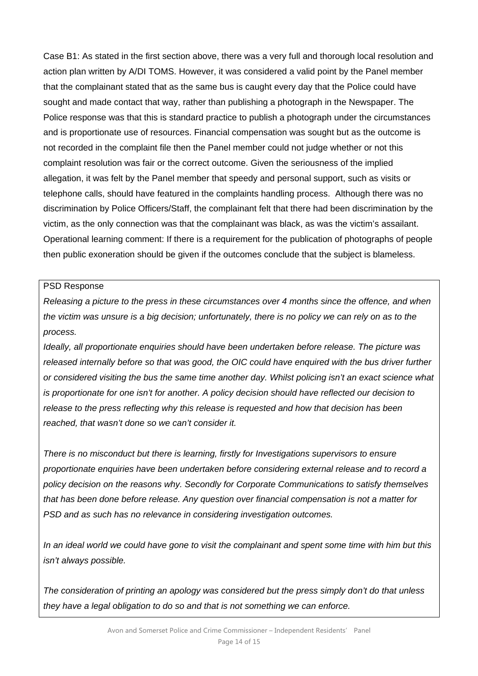Case B1: As stated in the first section above, there was a very full and thorough local resolution and action plan written by A/DI TOMS. However, it was considered a valid point by the Panel member that the complainant stated that as the same bus is caught every day that the Police could have sought and made contact that way, rather than publishing a photograph in the Newspaper. The Police response was that this is standard practice to publish a photograph under the circumstances and is proportionate use of resources. Financial compensation was sought but as the outcome is not recorded in the complaint file then the Panel member could not judge whether or not this complaint resolution was fair or the correct outcome. Given the seriousness of the implied allegation, it was felt by the Panel member that speedy and personal support, such as visits or telephone calls, should have featured in the complaints handling process. Although there was no discrimination by Police Officers/Staff, the complainant felt that there had been discrimination by the victim, as the only connection was that the complainant was black, as was the victim's assailant. Operational learning comment: If there is a requirement for the publication of photographs of people then public exoneration should be given if the outcomes conclude that the subject is blameless.

### PSD Response

*Releasing a picture to the press in these circumstances over 4 months since the offence, and when the victim was unsure is a big decision; unfortunately, there is no policy we can rely on as to the process.* 

*Ideally, all proportionate enquiries should have been undertaken before release. The picture was released internally before so that was good, the OIC could have enquired with the bus driver further or considered visiting the bus the same time another day. Whilst policing isn't an exact science what is proportionate for one isn't for another. A policy decision should have reflected our decision to release to the press reflecting why this release is requested and how that decision has been reached, that wasn't done so we can't consider it.* 

*There is no misconduct but there is learning, firstly for Investigations supervisors to ensure proportionate enquiries have been undertaken before considering external release and to record a policy decision on the reasons why. Secondly for Corporate Communications to satisfy themselves that has been done before release. Any question over financial compensation is not a matter for PSD and as such has no relevance in considering investigation outcomes.* 

*In an ideal world we could have gone to visit the complainant and spent some time with him but this isn't always possible.* 

*The consideration of printing an apology was considered but the press simply don't do that unless they have a legal obligation to do so and that is not something we can enforce.*